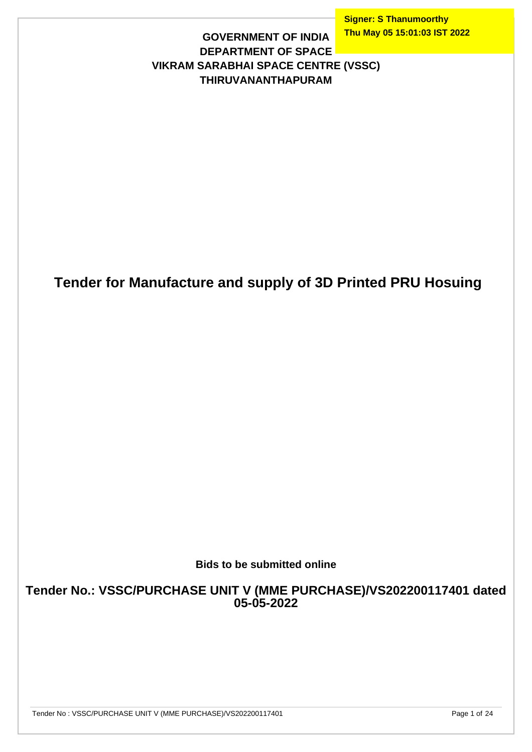**Signer: S Thanumoorthy Thu May 05 15:01:03 IST 2022**

#### **GOVERNMENT OF INDIA DEPARTMENT OF SPACE VIKRAM SARABHAI SPACE CENTRE (VSSC) THIRUVANANTHAPURAM**

## **Tender for Manufacture and supply of 3D Printed PRU Hosuing**

#### **Bids to be submitted online**

**Tender No.: VSSC/PURCHASE UNIT V (MME PURCHASE)/VS202200117401 dated 05-05-2022**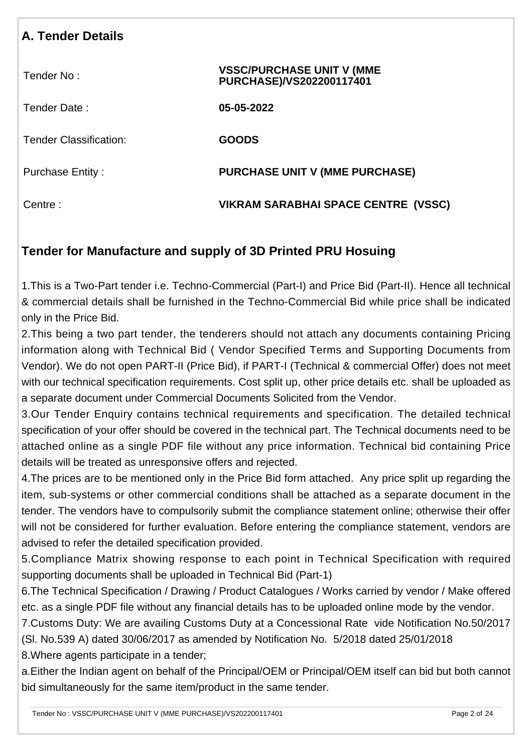| <b>A. Tender Details</b>      |                                                              |
|-------------------------------|--------------------------------------------------------------|
| Tender No:                    | <b>VSSC/PURCHASE UNIT V (MME</b><br>PURCHASE)/VS202200117401 |
| Tender Date:                  | 05-05-2022                                                   |
| <b>Tender Classification:</b> | <b>GOODS</b>                                                 |
| <b>Purchase Entity:</b>       | <b>PURCHASE UNIT V (MME PURCHASE)</b>                        |
| Centre:                       | VIKRAM SARABHAI SPACE CENTRE (VSSC)                          |

### **Tender for Manufacture and supply of 3D Printed PRU Hosuing**

1.This is a Two-Part tender i.e. Techno-Commercial (Part-I) and Price Bid (Part-II). Hence all technical & commercial details shall be furnished in the Techno-Commercial Bid while price shall be indicated only in the Price Bid.

2.This being a two part tender, the tenderers should not attach any documents containing Pricing information along with Technical Bid ( Vendor Specified Terms and Supporting Documents from Vendor). We do not open PART-II (Price Bid), if PART-I (Technical & commercial Offer) does not meet with our technical specification requirements. Cost split up, other price details etc. shall be uploaded as a separate document under Commercial Documents Solicited from the Vendor.

3.Our Tender Enquiry contains technical requirements and specification. The detailed technical specification of your offer should be covered in the technical part. The Technical documents need to be attached online as a single PDF file without any price information. Technical bid containing Price details will be treated as unresponsive offers and rejected.

4.The prices are to be mentioned only in the Price Bid form attached. Any price split up regarding the item, sub-systems or other commercial conditions shall be attached as a separate document in the tender. The vendors have to compulsorily submit the compliance statement online; otherwise their offer will not be considered for further evaluation. Before entering the compliance statement, vendors are advised to refer the detailed specification provided.

5.Compliance Matrix showing response to each point in Technical Specification with required supporting documents shall be uploaded in Technical Bid (Part-1)

6.The Technical Specification / Drawing / Product Catalogues / Works carried by vendor / Make offered etc. as a single PDF file without any financial details has to be uploaded online mode by the vendor.

7.Customs Duty: We are availing Customs Duty at a Concessional Rate vide Notification No.50/2017 (Sl. No.539 A) dated 30/06/2017 as amended by Notification No. 5/2018 dated 25/01/2018

8.Where agents participate in a tender;

a.Either the Indian agent on behalf of the Principal/OEM or Principal/OEM itself can bid but both cannot bid simultaneously for the same item/product in the same tender.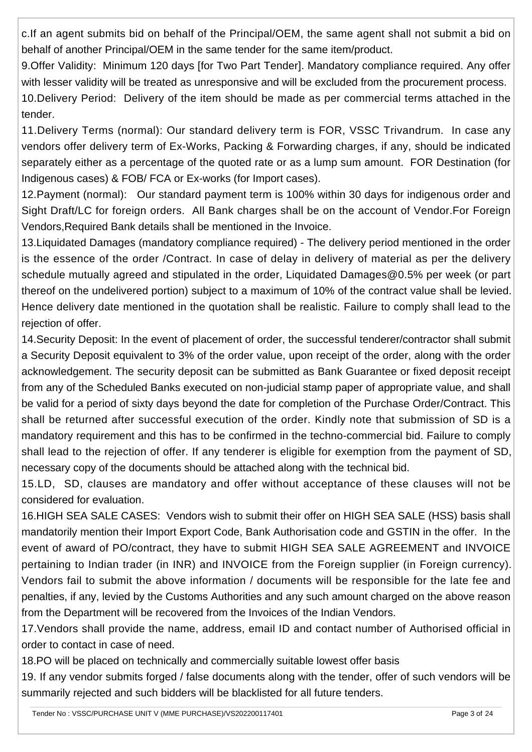c.If an agent submits bid on behalf of the Principal/OEM, the same agent shall not submit a bid on behalf of another Principal/OEM in the same tender for the same item/product.

9.Offer Validity: Minimum 120 days [for Two Part Tender]. Mandatory compliance required. Any offer with lesser validity will be treated as unresponsive and will be excluded from the procurement process. 10.Delivery Period: Delivery of the item should be made as per commercial terms attached in the tender.

11.Delivery Terms (normal): Our standard delivery term is FOR, VSSC Trivandrum. In case any vendors offer delivery term of Ex-Works, Packing & Forwarding charges, if any, should be indicated separately either as a percentage of the quoted rate or as a lump sum amount. FOR Destination (for Indigenous cases) & FOB/ FCA or Ex-works (for Import cases).

12.Payment (normal): Our standard payment term is 100% within 30 days for indigenous order and Sight Draft/LC for foreign orders. All Bank charges shall be on the account of Vendor.For Foreign Vendors,Required Bank details shall be mentioned in the Invoice.

13.Liquidated Damages (mandatory compliance required) - The delivery period mentioned in the order is the essence of the order /Contract. In case of delay in delivery of material as per the delivery schedule mutually agreed and stipulated in the order, Liquidated Damages@0.5% per week (or part thereof on the undelivered portion) subject to a maximum of 10% of the contract value shall be levied. Hence delivery date mentioned in the quotation shall be realistic. Failure to comply shall lead to the rejection of offer.

14.Security Deposit: In the event of placement of order, the successful tenderer/contractor shall submit a Security Deposit equivalent to 3% of the order value, upon receipt of the order, along with the order acknowledgement. The security deposit can be submitted as Bank Guarantee or fixed deposit receipt from any of the Scheduled Banks executed on non-judicial stamp paper of appropriate value, and shall be valid for a period of sixty days beyond the date for completion of the Purchase Order/Contract. This shall be returned after successful execution of the order. Kindly note that submission of SD is a mandatory requirement and this has to be confirmed in the techno-commercial bid. Failure to comply shall lead to the rejection of offer. If any tenderer is eligible for exemption from the payment of SD, necessary copy of the documents should be attached along with the technical bid.

15.LD, SD, clauses are mandatory and offer without acceptance of these clauses will not be considered for evaluation.

16.HIGH SEA SALE CASES: Vendors wish to submit their offer on HIGH SEA SALE (HSS) basis shall mandatorily mention their Import Export Code, Bank Authorisation code and GSTIN in the offer. In the event of award of PO/contract, they have to submit HIGH SEA SALE AGREEMENT and INVOICE pertaining to Indian trader (in INR) and INVOICE from the Foreign supplier (in Foreign currency). Vendors fail to submit the above information / documents will be responsible for the late fee and penalties, if any, levied by the Customs Authorities and any such amount charged on the above reason from the Department will be recovered from the Invoices of the Indian Vendors.

17.Vendors shall provide the name, address, email ID and contact number of Authorised official in order to contact in case of need.

18.PO will be placed on technically and commercially suitable lowest offer basis

19. If any vendor submits forged / false documents along with the tender, offer of such vendors will be summarily rejected and such bidders will be blacklisted for all future tenders.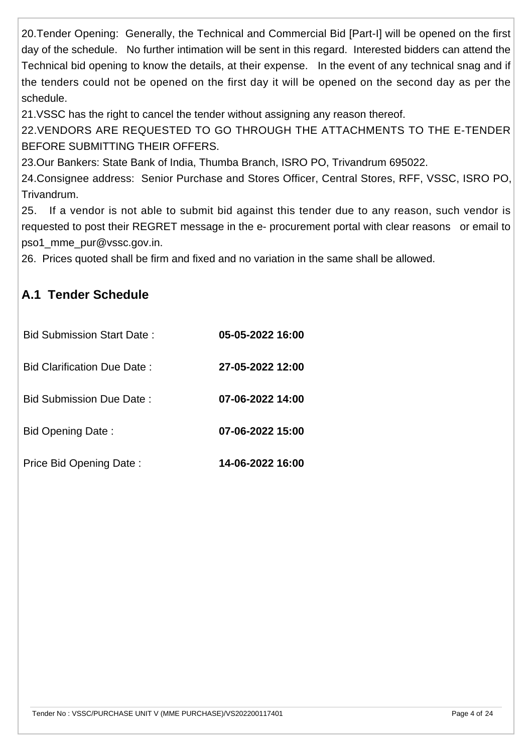20.Tender Opening: Generally, the Technical and Commercial Bid [Part-I] will be opened on the first day of the schedule. No further intimation will be sent in this regard. Interested bidders can attend the Technical bid opening to know the details, at their expense. In the event of any technical snag and if the tenders could not be opened on the first day it will be opened on the second day as per the schedule.

21.VSSC has the right to cancel the tender without assigning any reason thereof.

22.VENDORS ARE REQUESTED TO GO THROUGH THE ATTACHMENTS TO THE E-TENDER BEFORE SUBMITTING THEIR OFFERS.

23.Our Bankers: State Bank of India, Thumba Branch, ISRO PO, Trivandrum 695022.

24.Consignee address: Senior Purchase and Stores Officer, Central Stores, RFF, VSSC, ISRO PO, Trivandrum.

25. If a vendor is not able to submit bid against this tender due to any reason, such vendor is requested to post their REGRET message in the e- procurement portal with clear reasons or email to pso1\_mme\_pur@vssc.gov.in.

26. Prices quoted shall be firm and fixed and no variation in the same shall be allowed.

### **A.1 Tender Schedule**

| Bid Submission Start Date:      | 05-05-2022 16:00 |
|---------------------------------|------------------|
| Bid Clarification Due Date:     | 27-05-2022 12:00 |
| <b>Bid Submission Due Date:</b> | 07-06-2022 14:00 |
| <b>Bid Opening Date:</b>        | 07-06-2022 15:00 |
| Price Bid Opening Date:         | 14-06-2022 16:00 |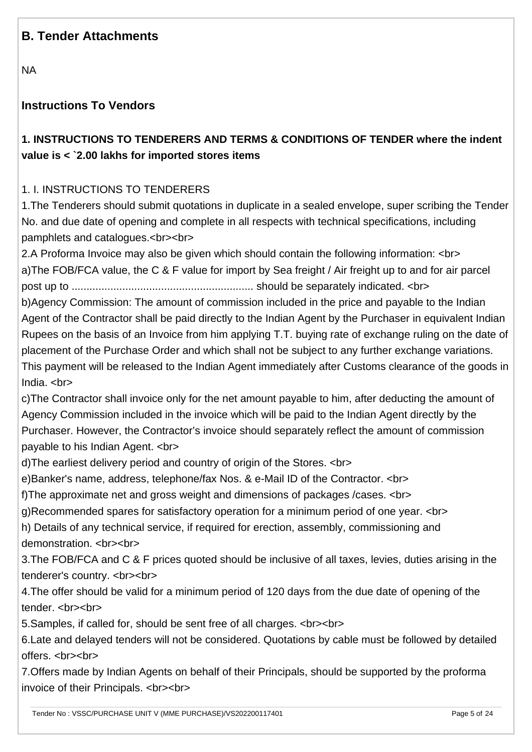### **B. Tender Attachments**

NA

#### **Instructions To Vendors**

### **1. INSTRUCTIONS TO TENDERERS AND TERMS & CONDITIONS OF TENDER where the indent value is < `2.00 lakhs for imported stores items**

#### 1. I. INSTRUCTIONS TO TENDERERS

1.The Tenderers should submit quotations in duplicate in a sealed envelope, super scribing the Tender No. and due date of opening and complete in all respects with technical specifications, including pamphlets and catalogues.<br><br>

2.A Proforma Invoice may also be given which should contain the following information: <br> a)The FOB/FCA value, the C & F value for import by Sea freight / Air freight up to and for air parcel post up to ............................................................. should be separately indicated. <br>

b)Agency Commission: The amount of commission included in the price and payable to the Indian Agent of the Contractor shall be paid directly to the Indian Agent by the Purchaser in equivalent Indian Rupees on the basis of an Invoice from him applying T.T. buying rate of exchange ruling on the date of placement of the Purchase Order and which shall not be subject to any further exchange variations. This payment will be released to the Indian Agent immediately after Customs clearance of the goods in India. <br>

c)The Contractor shall invoice only for the net amount payable to him, after deducting the amount of Agency Commission included in the invoice which will be paid to the Indian Agent directly by the Purchaser. However, the Contractor's invoice should separately reflect the amount of commission payable to his Indian Agent. <br>

d)The earliest delivery period and country of origin of the Stores. <br>

e)Banker's name, address, telephone/fax Nos. & e-Mail ID of the Contractor. <br>

f)The approximate net and gross weight and dimensions of packages /cases. <br>

g)Recommended spares for satisfactory operation for a minimum period of one year. <br>

h) Details of any technical service, if required for erection, assembly, commissioning and demonstration. <br><br>

3.The FOB/FCA and C & F prices quoted should be inclusive of all taxes, levies, duties arising in the tenderer's country. <br><br>

4.The offer should be valid for a minimum period of 120 days from the due date of opening of the tender. <br>>
<br>
<br

5.Samples, if called for, should be sent free of all charges. <br><br>

6.Late and delayed tenders will not be considered. Quotations by cable must be followed by detailed offers. <br><br>

7.Offers made by Indian Agents on behalf of their Principals, should be supported by the proforma invoice of their Principals. <br><br>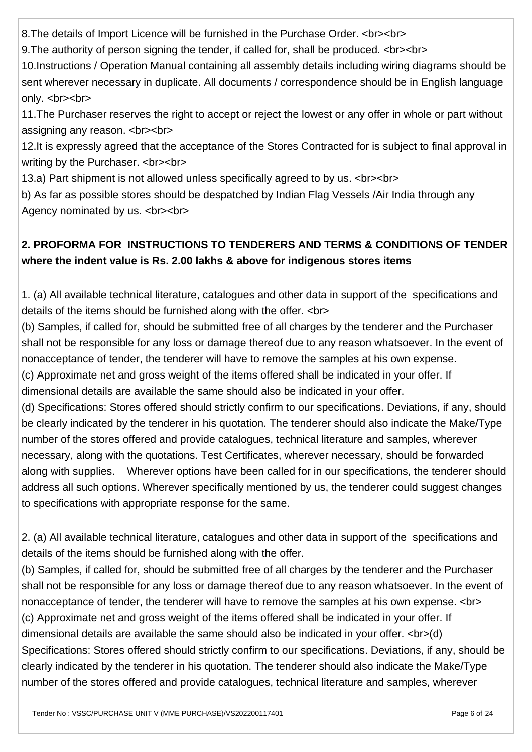8.The details of Import Licence will be furnished in the Purchase Order. <br><br>

9.The authority of person signing the tender, if called for, shall be produced. <br><br>

10.Instructions / Operation Manual containing all assembly details including wiring diagrams should be sent wherever necessary in duplicate. All documents / correspondence should be in English language only. <br>>  $\epsilon$ 

11.The Purchaser reserves the right to accept or reject the lowest or any offer in whole or part without assigning any reason. <br><br>

12.It is expressly agreed that the acceptance of the Stores Contracted for is subject to final approval in writing by the Purchaser. <br><br>

13.a) Part shipment is not allowed unless specifically agreed to by us. <br><br>

b) As far as possible stores should be despatched by Indian Flag Vessels /Air India through any Agency nominated by us. <br><br>

### **2. PROFORMA FOR INSTRUCTIONS TO TENDERERS AND TERMS & CONDITIONS OF TENDER where the indent value is Rs. 2.00 lakhs & above for indigenous stores items**

1. (a) All available technical literature, catalogues and other data in support of the specifications and details of the items should be furnished along with the offer. <br>

(b) Samples, if called for, should be submitted free of all charges by the tenderer and the Purchaser shall not be responsible for any loss or damage thereof due to any reason whatsoever. In the event of nonacceptance of tender, the tenderer will have to remove the samples at his own expense.

(c) Approximate net and gross weight of the items offered shall be indicated in your offer. If

dimensional details are available the same should also be indicated in your offer.

(d) Specifications: Stores offered should strictly confirm to our specifications. Deviations, if any, should be clearly indicated by the tenderer in his quotation. The tenderer should also indicate the Make/Type number of the stores offered and provide catalogues, technical literature and samples, wherever necessary, along with the quotations. Test Certificates, wherever necessary, should be forwarded along with supplies. Wherever options have been called for in our specifications, the tenderer should address all such options. Wherever specifically mentioned by us, the tenderer could suggest changes to specifications with appropriate response for the same.

2. (a) All available technical literature, catalogues and other data in support of the specifications and details of the items should be furnished along with the offer.

(b) Samples, if called for, should be submitted free of all charges by the tenderer and the Purchaser shall not be responsible for any loss or damage thereof due to any reason whatsoever. In the event of nonacceptance of tender, the tenderer will have to remove the samples at his own expense. <br> (c) Approximate net and gross weight of the items offered shall be indicated in your offer. If dimensional details are available the same should also be indicated in your offer. <br>>br>(d) Specifications: Stores offered should strictly confirm to our specifications. Deviations, if any, should be clearly indicated by the tenderer in his quotation. The tenderer should also indicate the Make/Type number of the stores offered and provide catalogues, technical literature and samples, wherever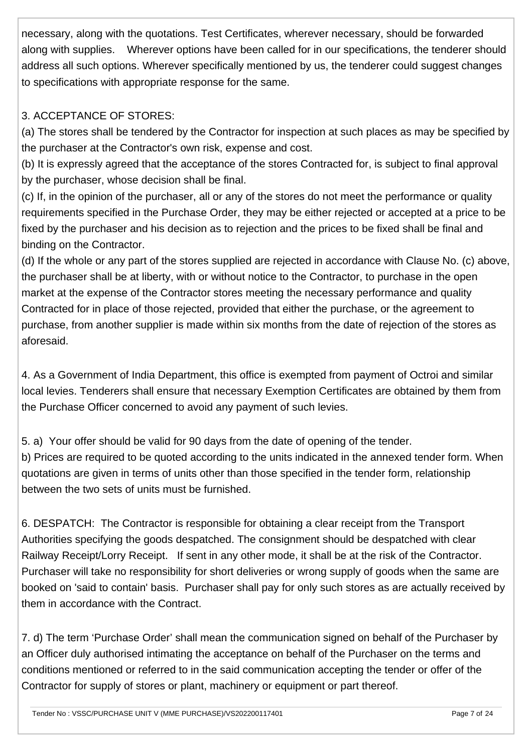necessary, along with the quotations. Test Certificates, wherever necessary, should be forwarded along with supplies. Wherever options have been called for in our specifications, the tenderer should address all such options. Wherever specifically mentioned by us, the tenderer could suggest changes to specifications with appropriate response for the same.

#### 3. ACCEPTANCE OF STORES:

(a) The stores shall be tendered by the Contractor for inspection at such places as may be specified by the purchaser at the Contractor's own risk, expense and cost.

(b) It is expressly agreed that the acceptance of the stores Contracted for, is subject to final approval by the purchaser, whose decision shall be final.

(c) If, in the opinion of the purchaser, all or any of the stores do not meet the performance or quality requirements specified in the Purchase Order, they may be either rejected or accepted at a price to be fixed by the purchaser and his decision as to rejection and the prices to be fixed shall be final and binding on the Contractor.

(d) If the whole or any part of the stores supplied are rejected in accordance with Clause No. (c) above, the purchaser shall be at liberty, with or without notice to the Contractor, to purchase in the open market at the expense of the Contractor stores meeting the necessary performance and quality Contracted for in place of those rejected, provided that either the purchase, or the agreement to purchase, from another supplier is made within six months from the date of rejection of the stores as aforesaid.

4. As a Government of India Department, this office is exempted from payment of Octroi and similar local levies. Tenderers shall ensure that necessary Exemption Certificates are obtained by them from the Purchase Officer concerned to avoid any payment of such levies.

5. a) Your offer should be valid for 90 days from the date of opening of the tender.

b) Prices are required to be quoted according to the units indicated in the annexed tender form. When quotations are given in terms of units other than those specified in the tender form, relationship between the two sets of units must be furnished.

6. DESPATCH: The Contractor is responsible for obtaining a clear receipt from the Transport Authorities specifying the goods despatched. The consignment should be despatched with clear Railway Receipt/Lorry Receipt. If sent in any other mode, it shall be at the risk of the Contractor. Purchaser will take no responsibility for short deliveries or wrong supply of goods when the same are booked on 'said to contain' basis. Purchaser shall pay for only such stores as are actually received by them in accordance with the Contract.

7. d) The term 'Purchase Order' shall mean the communication signed on behalf of the Purchaser by an Officer duly authorised intimating the acceptance on behalf of the Purchaser on the terms and conditions mentioned or referred to in the said communication accepting the tender or offer of the Contractor for supply of stores or plant, machinery or equipment or part thereof.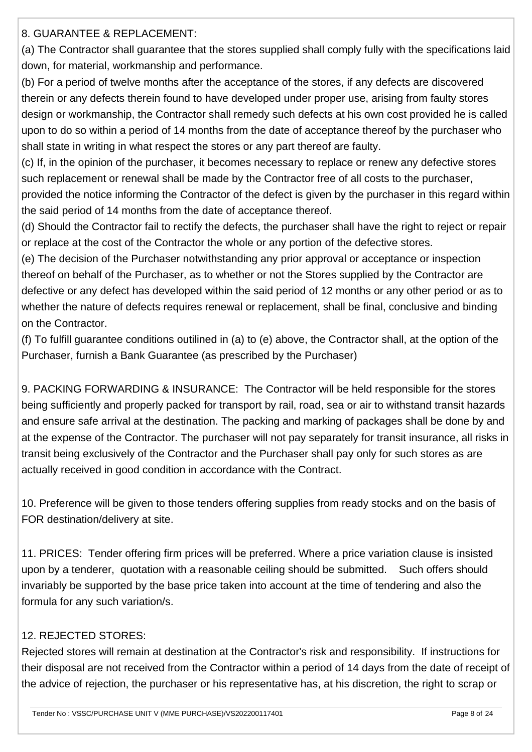8. GUARANTEE & REPLACEMENT:

(a) The Contractor shall guarantee that the stores supplied shall comply fully with the specifications laid down, for material, workmanship and performance.

(b) For a period of twelve months after the acceptance of the stores, if any defects are discovered therein or any defects therein found to have developed under proper use, arising from faulty stores design or workmanship, the Contractor shall remedy such defects at his own cost provided he is called upon to do so within a period of 14 months from the date of acceptance thereof by the purchaser who shall state in writing in what respect the stores or any part thereof are faulty.

(c) If, in the opinion of the purchaser, it becomes necessary to replace or renew any defective stores such replacement or renewal shall be made by the Contractor free of all costs to the purchaser,

provided the notice informing the Contractor of the defect is given by the purchaser in this regard within the said period of 14 months from the date of acceptance thereof.

(d) Should the Contractor fail to rectify the defects, the purchaser shall have the right to reject or repair or replace at the cost of the Contractor the whole or any portion of the defective stores.

(e) The decision of the Purchaser notwithstanding any prior approval or acceptance or inspection thereof on behalf of the Purchaser, as to whether or not the Stores supplied by the Contractor are defective or any defect has developed within the said period of 12 months or any other period or as to whether the nature of defects requires renewal or replacement, shall be final, conclusive and binding on the Contractor.

(f) To fulfill guarantee conditions outilined in (a) to (e) above, the Contractor shall, at the option of the Purchaser, furnish a Bank Guarantee (as prescribed by the Purchaser)

9. PACKING FORWARDING & INSURANCE: The Contractor will be held responsible for the stores being sufficiently and properly packed for transport by rail, road, sea or air to withstand transit hazards and ensure safe arrival at the destination. The packing and marking of packages shall be done by and at the expense of the Contractor. The purchaser will not pay separately for transit insurance, all risks in transit being exclusively of the Contractor and the Purchaser shall pay only for such stores as are actually received in good condition in accordance with the Contract.

10. Preference will be given to those tenders offering supplies from ready stocks and on the basis of FOR destination/delivery at site.

11. PRICES: Tender offering firm prices will be preferred. Where a price variation clause is insisted upon by a tenderer, quotation with a reasonable ceiling should be submitted. Such offers should invariably be supported by the base price taken into account at the time of tendering and also the formula for any such variation/s.

### 12. REJECTED STORES:

Rejected stores will remain at destination at the Contractor's risk and responsibility. If instructions for their disposal are not received from the Contractor within a period of 14 days from the date of receipt of the advice of rejection, the purchaser or his representative has, at his discretion, the right to scrap or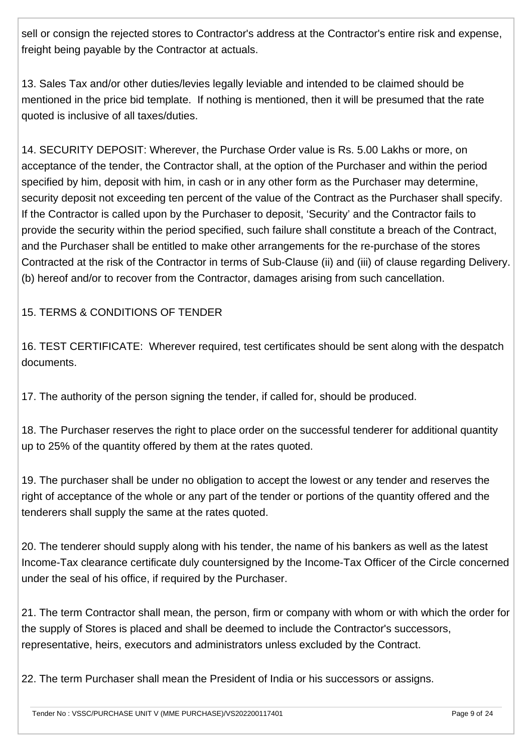sell or consign the rejected stores to Contractor's address at the Contractor's entire risk and expense, freight being payable by the Contractor at actuals.

13. Sales Tax and/or other duties/levies legally leviable and intended to be claimed should be mentioned in the price bid template. If nothing is mentioned, then it will be presumed that the rate quoted is inclusive of all taxes/duties.

14. SECURITY DEPOSIT: Wherever, the Purchase Order value is Rs. 5.00 Lakhs or more, on acceptance of the tender, the Contractor shall, at the option of the Purchaser and within the period specified by him, deposit with him, in cash or in any other form as the Purchaser may determine, security deposit not exceeding ten percent of the value of the Contract as the Purchaser shall specify. If the Contractor is called upon by the Purchaser to deposit, 'Security' and the Contractor fails to provide the security within the period specified, such failure shall constitute a breach of the Contract, and the Purchaser shall be entitled to make other arrangements for the re-purchase of the stores Contracted at the risk of the Contractor in terms of Sub-Clause (ii) and (iii) of clause regarding Delivery. (b) hereof and/or to recover from the Contractor, damages arising from such cancellation.

15. TERMS & CONDITIONS OF TENDER

16. TEST CERTIFICATE: Wherever required, test certificates should be sent along with the despatch documents.

17. The authority of the person signing the tender, if called for, should be produced.

18. The Purchaser reserves the right to place order on the successful tenderer for additional quantity up to 25% of the quantity offered by them at the rates quoted.

19. The purchaser shall be under no obligation to accept the lowest or any tender and reserves the right of acceptance of the whole or any part of the tender or portions of the quantity offered and the tenderers shall supply the same at the rates quoted.

20. The tenderer should supply along with his tender, the name of his bankers as well as the latest Income-Tax clearance certificate duly countersigned by the Income-Tax Officer of the Circle concerned under the seal of his office, if required by the Purchaser.

21. The term Contractor shall mean, the person, firm or company with whom or with which the order for the supply of Stores is placed and shall be deemed to include the Contractor's successors, representative, heirs, executors and administrators unless excluded by the Contract.

22. The term Purchaser shall mean the President of India or his successors or assigns.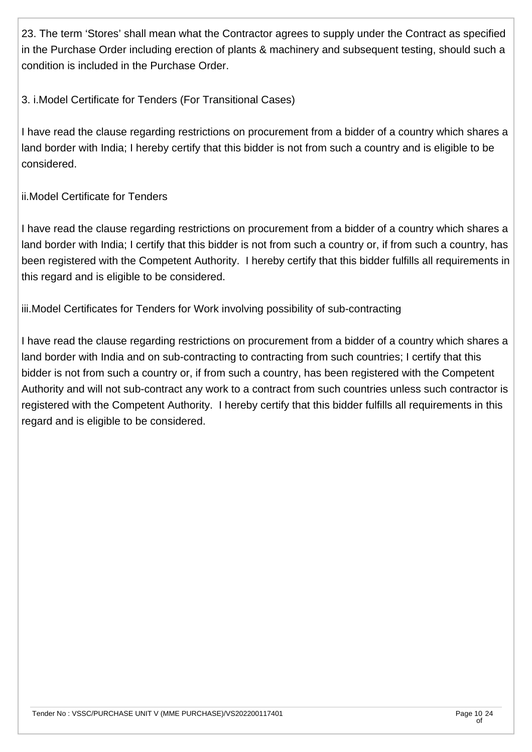23. The term 'Stores' shall mean what the Contractor agrees to supply under the Contract as specified in the Purchase Order including erection of plants & machinery and subsequent testing, should such a condition is included in the Purchase Order.

#### 3. i.Model Certificate for Tenders (For Transitional Cases)

I have read the clause regarding restrictions on procurement from a bidder of a country which shares a land border with India; I hereby certify that this bidder is not from such a country and is eligible to be considered.

#### ii.Model Certificate for Tenders

I have read the clause regarding restrictions on procurement from a bidder of a country which shares a land border with India; I certify that this bidder is not from such a country or, if from such a country, has been registered with the Competent Authority. I hereby certify that this bidder fulfills all requirements in this regard and is eligible to be considered.

iii.Model Certificates for Tenders for Work involving possibility of sub-contracting

I have read the clause regarding restrictions on procurement from a bidder of a country which shares a land border with India and on sub-contracting to contracting from such countries; I certify that this bidder is not from such a country or, if from such a country, has been registered with the Competent Authority and will not sub-contract any work to a contract from such countries unless such contractor is registered with the Competent Authority. I hereby certify that this bidder fulfills all requirements in this regard and is eligible to be considered.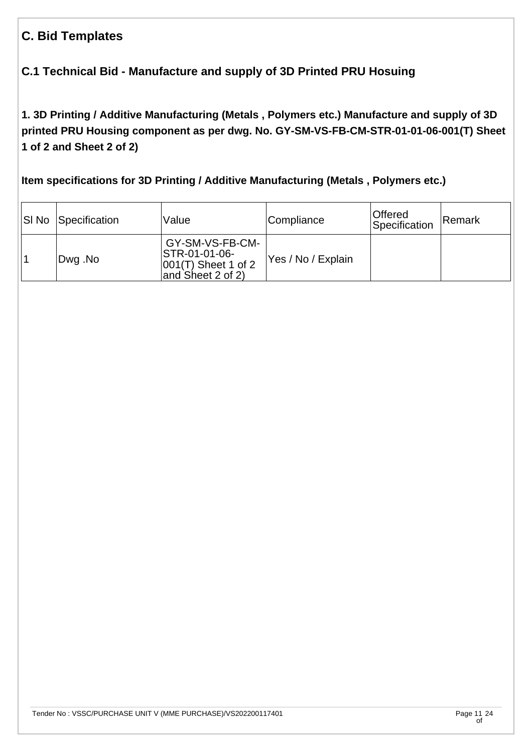### **C. Bid Templates**

### **C.1 Technical Bid - Manufacture and supply of 3D Printed PRU Hosuing**

**1. 3D Printing / Additive Manufacturing (Metals , Polymers etc.) Manufacture and supply of 3D printed PRU Housing component as per dwg. No. GY-SM-VS-FB-CM-STR-01-01-06-001(T) Sheet 1 of 2 and Sheet 2 of 2)** 

**Item specifications for 3D Printing / Additive Manufacturing (Metals , Polymers etc.)**

| SI No Specification | Value                                                                           | Compliance         | Offered<br>Specification | Remark |
|---------------------|---------------------------------------------------------------------------------|--------------------|--------------------------|--------|
| Dwg .No             | GY-SM-VS-FB-CM-<br>STR-01-01-06-<br>$ 001(T)$ Sheet 1 of 2<br>and Sheet 2 of 2) | Yes / No / Explain |                          |        |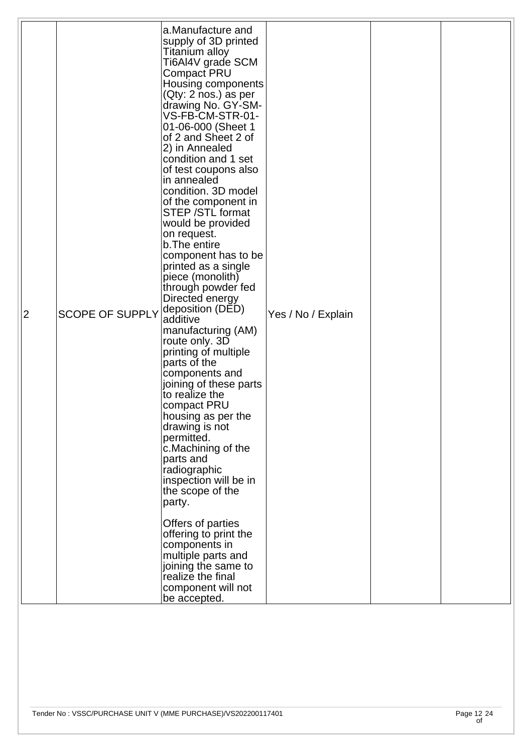| $\overline{2}$ | <b>SCOPE OF SUPPLY</b> | a.Manufacture and<br>supply of 3D printed<br>Titanium alloy<br>Ti6Al4V grade SCM<br><b>Compact PRU</b><br>Housing components<br>(Qty: 2 nos.) as per<br>drawing No. GY-SM-<br>VS-FB-CM-STR-01-<br>01-06-000 (Sheet 1<br>of 2 and Sheet 2 of<br>2) in Annealed<br>condition and 1 set<br>of test coupons also<br>in annealed<br>condition. 3D model<br>of the component in<br><b>STEP / STL format</b><br>would be provided<br>on request.<br>b. The entire<br>component has to be<br>printed as a single<br>piece (monolith)<br>through powder fed<br>Directed energy<br>deposition (DED)<br>additive<br>manufacturing (AM)<br>route only. 3D<br>printing of multiple<br>parts of the<br>components and<br>joining of these parts<br>to realize the<br>compact PRU<br>housing as per the<br>drawing is not<br>permitted.<br>c.Machining of the<br>parts and<br>radiographic<br>inspection will be in<br>the scope of the<br>party.<br>Offers of parties<br>offering to print the<br>components in<br>multiple parts and<br>joining the same to<br>realize the final<br>component will not<br>be accepted. | Yes / No / Explain |  |
|----------------|------------------------|-----------------------------------------------------------------------------------------------------------------------------------------------------------------------------------------------------------------------------------------------------------------------------------------------------------------------------------------------------------------------------------------------------------------------------------------------------------------------------------------------------------------------------------------------------------------------------------------------------------------------------------------------------------------------------------------------------------------------------------------------------------------------------------------------------------------------------------------------------------------------------------------------------------------------------------------------------------------------------------------------------------------------------------------------------------------------------------------------------------|--------------------|--|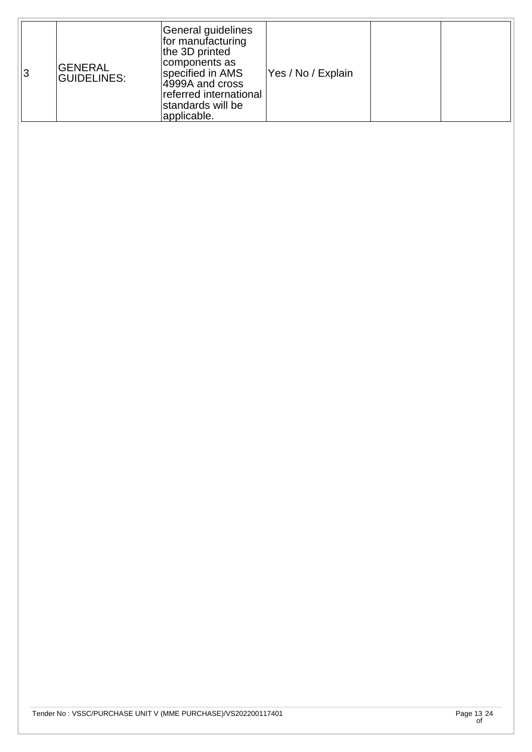| 3 | <b>GENERAL</b><br><b>GUIDELINES:</b> | General guidelines<br>for manufacturing<br>the 3D printed<br>components as<br>specified in AMS<br>4999A and cross<br>referred international<br>standards will be<br>applicable. | Yes / No / Explain |  |  |
|---|--------------------------------------|---------------------------------------------------------------------------------------------------------------------------------------------------------------------------------|--------------------|--|--|
|---|--------------------------------------|---------------------------------------------------------------------------------------------------------------------------------------------------------------------------------|--------------------|--|--|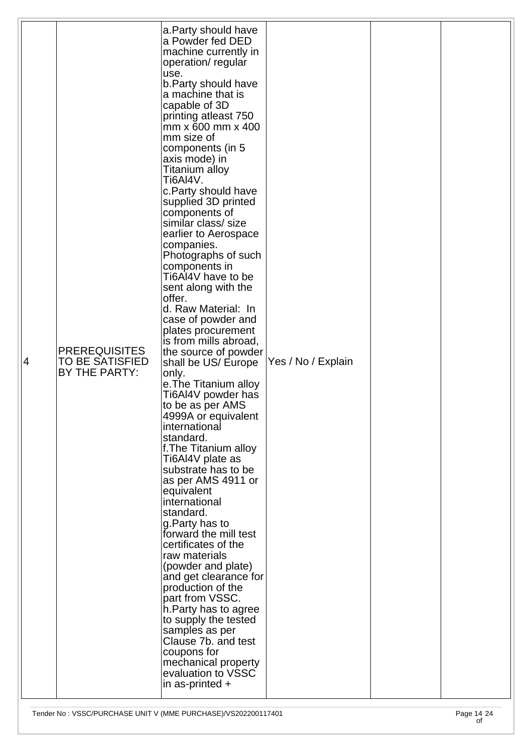|    |                        | a. Party should have                          |                    |  |
|----|------------------------|-----------------------------------------------|--------------------|--|
|    |                        | a Powder fed DED<br>machine currently in      |                    |  |
|    |                        | operation/regular<br>use.                     |                    |  |
|    |                        | b. Party should have<br>a machine that is     |                    |  |
|    |                        | capable of 3D                                 |                    |  |
|    |                        | printing atleast 750<br>mm x 600 mm x 400     |                    |  |
|    |                        | mm size of<br>components (in 5                |                    |  |
|    |                        | axis mode) in<br>Titanium alloy               |                    |  |
|    |                        | Ti6AI4V.<br>c. Party should have              |                    |  |
|    |                        | supplied 3D printed                           |                    |  |
|    |                        | components of<br>similar class/size           |                    |  |
|    |                        | earlier to Aerospace<br>companies.            |                    |  |
|    |                        | Photographs of such<br>components in          |                    |  |
|    |                        | Ti6AI4V have to be<br>sent along with the     |                    |  |
|    |                        | offer.<br>d. Raw Material: In                 |                    |  |
|    |                        | case of powder and<br>plates procurement      |                    |  |
|    | <b>PREREQUISITES</b>   | is from mills abroad,                         |                    |  |
| 14 | <b>TO BE SATISFIED</b> | the source of powder<br>shall be US/ Europe   | Yes / No / Explain |  |
|    | BY THE PARTY:          | only.<br>e. The Titanium alloy                |                    |  |
|    |                        | Ti6AI4V powder has<br>to be as per AMS        |                    |  |
|    |                        | 4999A or equivalent<br>international          |                    |  |
|    |                        | standard.<br>f. The Titanium alloy            |                    |  |
|    |                        | Ti6AI4V plate as<br>substrate has to be       |                    |  |
|    |                        | as per AMS 4911 or                            |                    |  |
|    |                        | equivalent<br>international                   |                    |  |
|    |                        | standard.<br>g.Party has to                   |                    |  |
|    |                        | forward the mill test<br>certificates of the  |                    |  |
|    |                        | raw materials<br>(powder and plate)           |                    |  |
|    |                        | and get clearance for<br>production of the    |                    |  |
|    |                        | part from VSSC.                               |                    |  |
|    |                        | h. Party has to agree<br>to supply the tested |                    |  |
|    |                        | samples as per<br>Clause 7b. and test         |                    |  |
|    |                        | coupons for<br>mechanical property            |                    |  |
|    |                        | evaluation to VSSC<br>in as-printed $+$       |                    |  |
|    |                        |                                               |                    |  |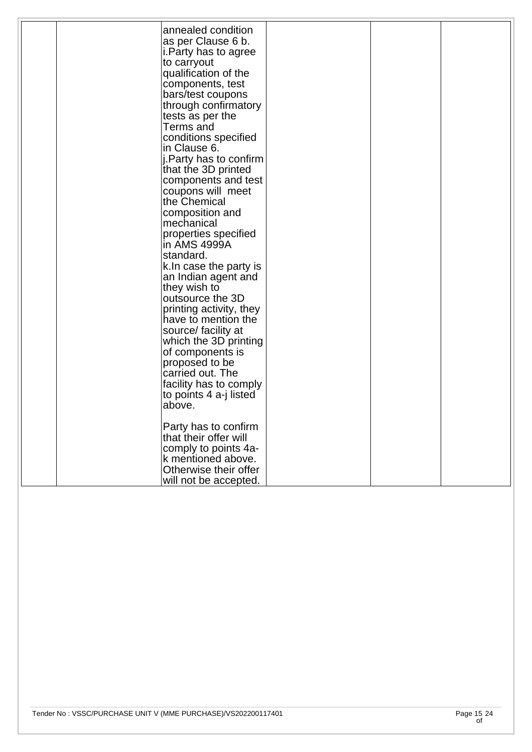|  | annealed condition      |  |  |
|--|-------------------------|--|--|
|  | as per Clause 6 b.      |  |  |
|  | i. Party has to agree   |  |  |
|  |                         |  |  |
|  | to carryout             |  |  |
|  | qualification of the    |  |  |
|  | components, test        |  |  |
|  | bars/test coupons       |  |  |
|  | through confirmatory    |  |  |
|  | tests as per the        |  |  |
|  | Terms and               |  |  |
|  | conditions specified    |  |  |
|  | in Clause 6.            |  |  |
|  |                         |  |  |
|  | j. Party has to confirm |  |  |
|  | that the 3D printed     |  |  |
|  | components and test     |  |  |
|  | coupons will meet       |  |  |
|  | the Chemical            |  |  |
|  | composition and         |  |  |
|  | mechanical              |  |  |
|  | properties specified    |  |  |
|  | in AMS 4999A            |  |  |
|  | standard.               |  |  |
|  |                         |  |  |
|  | k. In case the party is |  |  |
|  | an Indian agent and     |  |  |
|  | they wish to            |  |  |
|  | outsource the 3D        |  |  |
|  | printing activity, they |  |  |
|  | have to mention the     |  |  |
|  | source/ facility at     |  |  |
|  | which the 3D printing   |  |  |
|  | of components is        |  |  |
|  | proposed to be          |  |  |
|  | carried out. The        |  |  |
|  |                         |  |  |
|  | facility has to comply  |  |  |
|  | to points 4 a-j listed  |  |  |
|  | above.                  |  |  |
|  |                         |  |  |
|  | Party has to confirm    |  |  |
|  | that their offer will   |  |  |
|  | comply to points 4a-    |  |  |
|  | k mentioned above.      |  |  |
|  | Otherwise their offer   |  |  |
|  | will not be accepted.   |  |  |
|  |                         |  |  |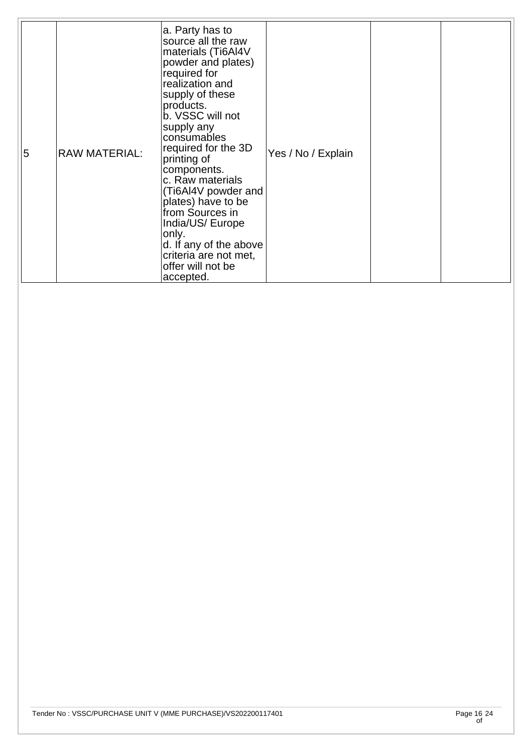| <b>RAW MATERIAL:</b><br>5 | a. Party has to<br>source all the raw<br>materials (Ti6Al4V<br>powder and plates)<br>required for<br>realization and<br>supply of these<br>products.<br>b. VSSC will not<br>supply any<br>consumables<br>required for the 3D<br>printing of<br>components.<br>c. Raw materials<br>(Ti6AI4V powder and<br>plates) have to be<br>from Sources in<br>India/US/ Europe<br>only.<br>d. If any of the above<br>criteria are not met,<br>offer will not be<br>accepted. | Yes / No / Explain |  |  |
|---------------------------|------------------------------------------------------------------------------------------------------------------------------------------------------------------------------------------------------------------------------------------------------------------------------------------------------------------------------------------------------------------------------------------------------------------------------------------------------------------|--------------------|--|--|
|---------------------------|------------------------------------------------------------------------------------------------------------------------------------------------------------------------------------------------------------------------------------------------------------------------------------------------------------------------------------------------------------------------------------------------------------------------------------------------------------------|--------------------|--|--|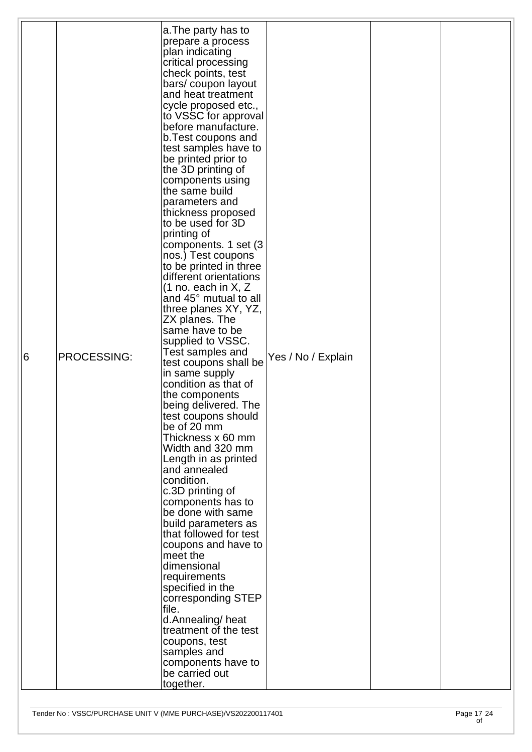|   |             | a. The party has to           |                    |  |
|---|-------------|-------------------------------|--------------------|--|
|   |             | prepare a process             |                    |  |
|   |             |                               |                    |  |
|   |             | plan indicating               |                    |  |
|   |             | critical processing           |                    |  |
|   |             | check points, test            |                    |  |
|   |             | bars/ coupon layout           |                    |  |
|   |             |                               |                    |  |
|   |             | and heat treatment            |                    |  |
|   |             | cycle proposed etc.,          |                    |  |
|   |             | to VSSC for approval          |                    |  |
|   |             | before manufacture.           |                    |  |
|   |             | b. Test coupons and           |                    |  |
|   |             |                               |                    |  |
|   |             | test samples have to          |                    |  |
|   |             | be printed prior to           |                    |  |
|   |             | the 3D printing of            |                    |  |
|   |             | components using              |                    |  |
|   |             | the same build                |                    |  |
|   |             |                               |                    |  |
|   |             | parameters and                |                    |  |
|   |             | thickness proposed            |                    |  |
|   |             | to be used for 3D             |                    |  |
|   |             | printing of                   |                    |  |
|   |             | components. 1 set (3          |                    |  |
|   |             |                               |                    |  |
|   |             | nos.) Test coupons            |                    |  |
|   |             | to be printed in three        |                    |  |
|   |             | different orientations        |                    |  |
|   |             | $(1 \text{ no.}$ each in X, Z |                    |  |
|   |             | and 45° mutual to all         |                    |  |
|   |             |                               |                    |  |
|   |             | three planes XY, YZ,          |                    |  |
|   |             | ZX planes. The                |                    |  |
|   |             | same have to be               |                    |  |
|   |             | supplied to VSSC.             |                    |  |
|   |             | Test samples and              |                    |  |
| 6 | PROCESSING: |                               | Yes / No / Explain |  |
|   |             | test coupons shall be         |                    |  |
|   |             | in same supply                |                    |  |
|   |             | condition as that of          |                    |  |
|   |             | the components                |                    |  |
|   |             | being delivered. The          |                    |  |
|   |             | test coupons should           |                    |  |
|   |             |                               |                    |  |
|   |             | be of 20 mm                   |                    |  |
|   |             | Thickness x 60 mm             |                    |  |
|   |             | Width and 320 mm              |                    |  |
|   |             | Length in as printed          |                    |  |
|   |             | and annealed                  |                    |  |
|   |             | condition.                    |                    |  |
|   |             |                               |                    |  |
|   |             | c.3D printing of              |                    |  |
|   |             | components has to             |                    |  |
|   |             | be done with same             |                    |  |
|   |             | build parameters as           |                    |  |
|   |             | that followed for test        |                    |  |
|   |             |                               |                    |  |
|   |             | coupons and have to           |                    |  |
|   |             | meet the                      |                    |  |
|   |             | dimensional                   |                    |  |
|   |             | requirements                  |                    |  |
|   |             | specified in the              |                    |  |
|   |             | corresponding STEP            |                    |  |
|   |             | file.                         |                    |  |
|   |             |                               |                    |  |
|   |             | d.Annealing/heat              |                    |  |
|   |             | treatment of the test         |                    |  |
|   |             | coupons, test                 |                    |  |
|   |             | samples and                   |                    |  |
|   |             | components have to            |                    |  |
|   |             | be carried out                |                    |  |
|   |             |                               |                    |  |
|   |             | together.                     |                    |  |
|   |             |                               |                    |  |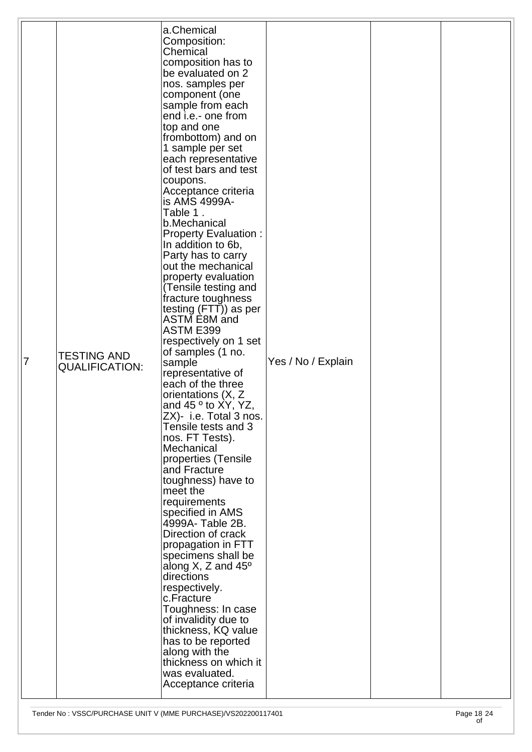| along with the<br>thickness on which it<br>was evaluated.<br>Acceptance criteria | 7 | <b>TESTING AND</b><br><b>QUALIFICATION:</b> | a.Chemical<br>Composition:<br>Chemical<br>composition has to<br>be evaluated on 2<br>nos. samples per<br>component (one<br>sample from each<br>end i.e.- one from<br>top and one<br>frombottom) and on<br>1 sample per set<br>each representative<br>of test bars and test<br>coupons.<br>Acceptance criteria<br>is AMS 4999A-<br>Table 1.<br>b.Mechanical<br><b>Property Evaluation:</b><br>In addition to 6b,<br>Party has to carry<br>out the mechanical<br>property evaluation<br>(Tensile testing and<br>fracture toughness<br>testing (FTT)) as per<br><b>ASTM E8M and</b><br><b>ASTM E399</b><br>respectively on 1 set<br>of samples (1 no.<br>sample<br>representative of<br>each of the three<br>orientations (X, Z<br>and 45 $\circ$ to XY, YZ,<br>ZX)- i.e. Total 3 nos.<br>Tensile tests and 3<br>nos. FT Tests).<br>Mechanical<br>properties (Tensile<br>and Fracture<br>toughness) have to<br>meet the<br>requirements<br>specified in AMS<br>4999A- Table 2B.<br>Direction of crack<br>propagation in FTT<br>specimens shall be<br>along $X$ , Z and $45^{\circ}$<br>directions<br>respectively.<br>c.Fracture<br>Toughness: In case<br>of invalidity due to<br>thickness, KQ value<br>has to be reported | Yes / No / Explain |  |  |
|----------------------------------------------------------------------------------|---|---------------------------------------------|--------------------------------------------------------------------------------------------------------------------------------------------------------------------------------------------------------------------------------------------------------------------------------------------------------------------------------------------------------------------------------------------------------------------------------------------------------------------------------------------------------------------------------------------------------------------------------------------------------------------------------------------------------------------------------------------------------------------------------------------------------------------------------------------------------------------------------------------------------------------------------------------------------------------------------------------------------------------------------------------------------------------------------------------------------------------------------------------------------------------------------------------------------------------------------------------------------------------------|--------------------|--|--|
|----------------------------------------------------------------------------------|---|---------------------------------------------|--------------------------------------------------------------------------------------------------------------------------------------------------------------------------------------------------------------------------------------------------------------------------------------------------------------------------------------------------------------------------------------------------------------------------------------------------------------------------------------------------------------------------------------------------------------------------------------------------------------------------------------------------------------------------------------------------------------------------------------------------------------------------------------------------------------------------------------------------------------------------------------------------------------------------------------------------------------------------------------------------------------------------------------------------------------------------------------------------------------------------------------------------------------------------------------------------------------------------|--------------------|--|--|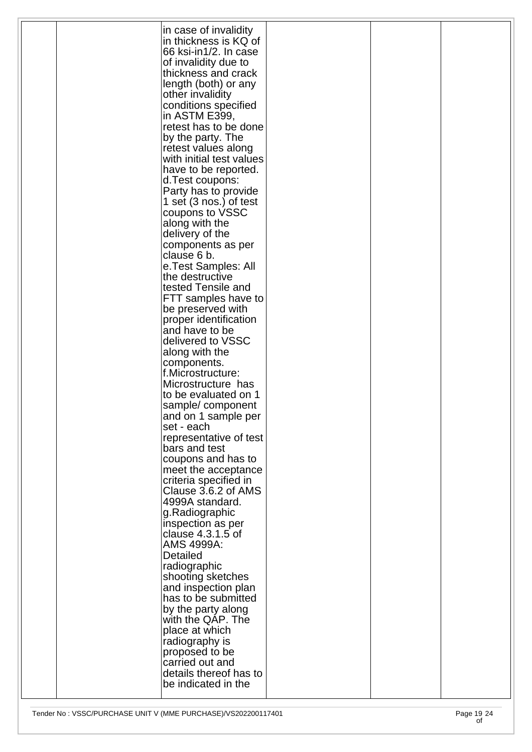|  | in case of invalidity    |  |  |
|--|--------------------------|--|--|
|  | in thickness is KQ of    |  |  |
|  |                          |  |  |
|  | 66 ksi-in1/2. In case    |  |  |
|  | of invalidity due to     |  |  |
|  | thickness and crack      |  |  |
|  | length (both) or any     |  |  |
|  |                          |  |  |
|  | other invalidity         |  |  |
|  | conditions specified     |  |  |
|  | in ASTM E399,            |  |  |
|  | retest has to be done    |  |  |
|  | by the party. The        |  |  |
|  |                          |  |  |
|  | retest values along      |  |  |
|  | with initial test values |  |  |
|  | have to be reported.     |  |  |
|  | d.Test coupons:          |  |  |
|  | Party has to provide     |  |  |
|  |                          |  |  |
|  | 1 set (3 nos.) of test   |  |  |
|  | coupons to VSSC          |  |  |
|  | along with the           |  |  |
|  | delivery of the          |  |  |
|  | components as per        |  |  |
|  | clause 6 b.              |  |  |
|  |                          |  |  |
|  | e.Test Samples: All      |  |  |
|  | the destructive          |  |  |
|  | tested Tensile and       |  |  |
|  | FTT samples have to      |  |  |
|  |                          |  |  |
|  | be preserved with        |  |  |
|  | proper identification    |  |  |
|  | and have to be           |  |  |
|  | delivered to VSSC        |  |  |
|  | along with the           |  |  |
|  |                          |  |  |
|  | components.              |  |  |
|  | f.Microstructure:        |  |  |
|  | Microstructure has       |  |  |
|  | to be evaluated on 1     |  |  |
|  | sample/component         |  |  |
|  | and on 1 sample per      |  |  |
|  |                          |  |  |
|  | set - each               |  |  |
|  | representative of test   |  |  |
|  | bars and test            |  |  |
|  | coupons and has to       |  |  |
|  |                          |  |  |
|  | meet the acceptance      |  |  |
|  | criteria specified in    |  |  |
|  | Clause 3.6.2 of AMS      |  |  |
|  | 4999A standard.          |  |  |
|  | g.Radiographic           |  |  |
|  | inspection as per        |  |  |
|  |                          |  |  |
|  | clause 4.3.1.5 of        |  |  |
|  | AMS 4999A:               |  |  |
|  | <b>Detailed</b>          |  |  |
|  | radiographic             |  |  |
|  | shooting sketches        |  |  |
|  |                          |  |  |
|  | and inspection plan      |  |  |
|  | has to be submitted      |  |  |
|  | by the party along       |  |  |
|  | with the QAP. The        |  |  |
|  | place at which           |  |  |
|  |                          |  |  |
|  | radiography is           |  |  |
|  | proposed to be           |  |  |
|  | carried out and          |  |  |
|  | details thereof has to   |  |  |
|  | be indicated in the      |  |  |
|  |                          |  |  |
|  |                          |  |  |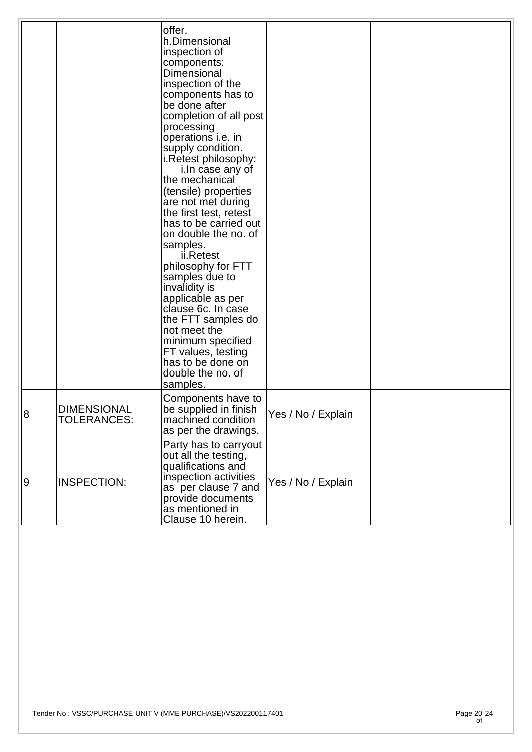|                |                                          | offer.<br>h.Dimensional<br>inspection of<br>components:<br>Dimensional<br>inspection of the<br>components has to<br>be done after<br>completion of all post<br>processing<br>operations i.e. in<br>supply condition.<br>i.Retest philosophy:<br>i. In case any of<br>the mechanical<br>(tensile) properties<br>are not met during<br>the first test, retest<br>has to be carried out<br>on double the no. of<br>samples.<br>ii.Retest<br>philosophy for FTT<br>samples due to<br>invalidity is<br>applicable as per<br>clause 6c. In case<br>the FTT samples do<br>not meet the<br>minimum specified<br>FT values, testing<br>has to be done on<br>double the no. of<br>samples. |                    |  |
|----------------|------------------------------------------|----------------------------------------------------------------------------------------------------------------------------------------------------------------------------------------------------------------------------------------------------------------------------------------------------------------------------------------------------------------------------------------------------------------------------------------------------------------------------------------------------------------------------------------------------------------------------------------------------------------------------------------------------------------------------------|--------------------|--|
| $\overline{8}$ | <b>DIMENSIONAL</b><br><b>TOLERANCES:</b> | Components have to<br>be supplied in finish<br>machined condition<br>as per the drawings.                                                                                                                                                                                                                                                                                                                                                                                                                                                                                                                                                                                        | Yes / No / Explain |  |
| $\overline{9}$ | <b>INSPECTION:</b>                       | Party has to carryout<br>out all the testing,<br>qualifications and<br>inspection activities<br>as per clause 7 and<br>provide documents<br>as mentioned in<br>Clause 10 herein.                                                                                                                                                                                                                                                                                                                                                                                                                                                                                                 | Yes / No / Explain |  |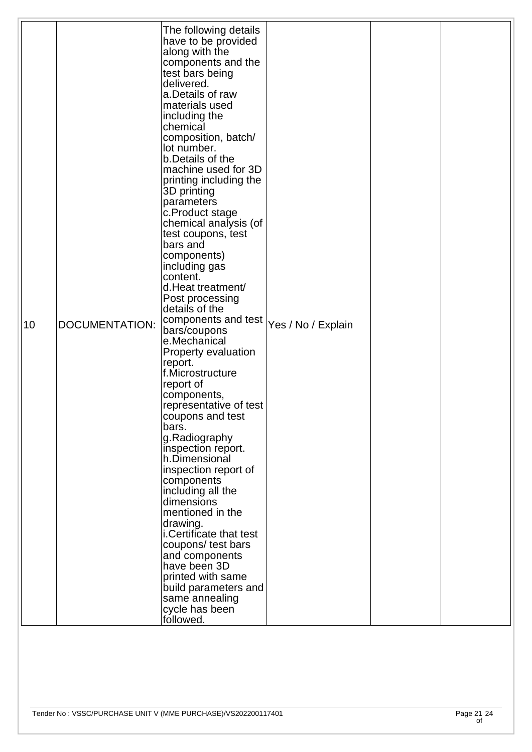| 10 | <b>DOCUMENTATION:</b> | The following details<br>have to be provided<br>along with the<br>components and the<br>test bars being<br>delivered.<br>a.Details of raw<br>materials used<br>including the<br>chemical<br>composition, batch/<br>lot number.<br>b.Details of the<br>machine used for 3D<br>printing including the<br>3D printing<br>parameters<br>c.Product stage<br>chemical analysis (of<br>test coupons, test<br>bars and<br>components)<br>including gas<br>content.<br>d.Heat treatment/<br>Post processing<br>details of the<br>components and test $ _{\text{Yes}}$ / No / Explain<br>bars/coupons<br>e.Mechanical<br>Property evaluation<br>report.<br>f.Microstructure<br>report of<br>components,<br>representative of test<br>coupons and test<br>bars.<br>g.Radiography<br>inspection report.<br>h.Dimensional<br>inspection report of<br>components |  |  |
|----|-----------------------|----------------------------------------------------------------------------------------------------------------------------------------------------------------------------------------------------------------------------------------------------------------------------------------------------------------------------------------------------------------------------------------------------------------------------------------------------------------------------------------------------------------------------------------------------------------------------------------------------------------------------------------------------------------------------------------------------------------------------------------------------------------------------------------------------------------------------------------------------|--|--|
|    |                       | including all the<br>dimensions<br>mentioned in the<br>drawing.<br>i.Certificate that test<br>coupons/ test bars<br>and components<br>have been 3D<br>printed with same<br>build parameters and<br>same annealing<br>cycle has been<br>followed.                                                                                                                                                                                                                                                                                                                                                                                                                                                                                                                                                                                                   |  |  |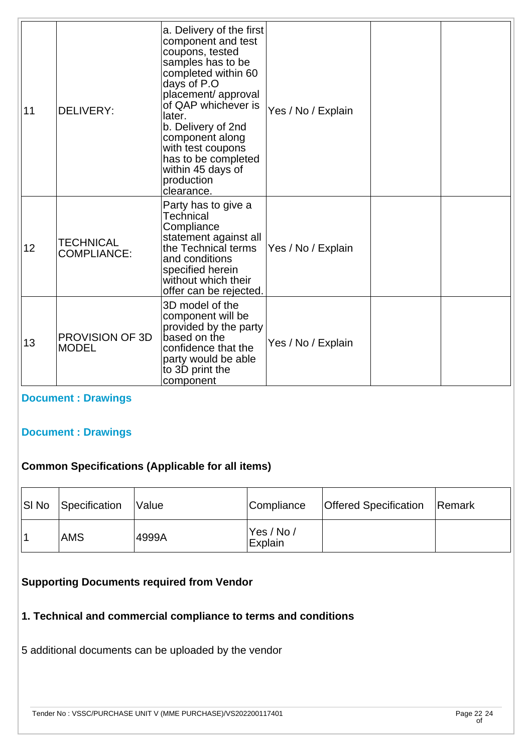| 11 | <b>DELIVERY:</b>                       | a. Delivery of the first<br>component and test<br>coupons, tested<br>samples has to be<br>completed within 60<br>days of P.O<br>placement/ approval<br>of QAP whichever is<br>later.<br>b. Delivery of 2nd<br>component along<br>with test coupons<br>has to be completed<br>within 45 days of<br>production<br>clearance. | Yes / No / Explain |  |
|----|----------------------------------------|----------------------------------------------------------------------------------------------------------------------------------------------------------------------------------------------------------------------------------------------------------------------------------------------------------------------------|--------------------|--|
| 12 | <b>TECHNICAL</b><br><b>COMPLIANCE:</b> | Party has to give a<br>Technical<br>Compliance<br>statement against all<br>the Technical terms<br>and conditions<br>specified herein<br>without which their<br>offer can be rejected.                                                                                                                                      | Yes / No / Explain |  |
| 13 | PROVISION OF 3D<br><b>MODEL</b>        | 3D model of the<br>component will be<br>provided by the party<br>based on the<br>confidence that the<br>party would be able<br>to 3D print the<br>component                                                                                                                                                                | Yes / No / Explain |  |

**[Document : Drawings](https://eproc.isro.gov.in/common/viewDocument?id=ff8080817f346c70017f354079c306c1&indentId=VS2022001174)**

#### **[Document : Drawings](https://eproc.isro.gov.in/common/viewDocument?id=ff8080817f346c70017f35407a0e06c2&indentId=VS2022001174)**

#### **Common Specifications (Applicable for all items)**

| SI No | Specification | <i><b>Nalue</b></i> | Compliance             | <b>Offered Specification</b> | Remark |
|-------|---------------|---------------------|------------------------|------------------------------|--------|
|       | <b>AMS</b>    | 4999A               | 'Yes / No /<br>Explain |                              |        |

#### **Supporting Documents required from Vendor**

## **1. Technical and commercial compliance to terms and conditions**

5 additional documents can be uploaded by the vendor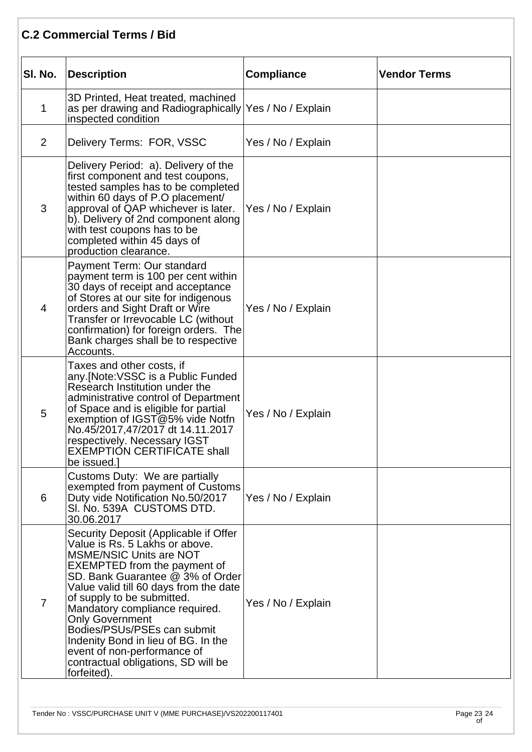### **C.2 Commercial Terms / Bid**

| SI. No.        | Description                                                                                                                                                                                                                                                                                                                                                                                                                                                                         | <b>Compliance</b>  | <b>Vendor Terms</b> |
|----------------|-------------------------------------------------------------------------------------------------------------------------------------------------------------------------------------------------------------------------------------------------------------------------------------------------------------------------------------------------------------------------------------------------------------------------------------------------------------------------------------|--------------------|---------------------|
| 1              | 3D Printed, Heat treated, machined<br>as per drawing and Radiographically Yes / No / Explain<br>inspected condition                                                                                                                                                                                                                                                                                                                                                                 |                    |                     |
| $\overline{2}$ | Delivery Terms: FOR, VSSC                                                                                                                                                                                                                                                                                                                                                                                                                                                           | Yes / No / Explain |                     |
| 3              | Delivery Period: a). Delivery of the<br>first component and test coupons,<br>tested samples has to be completed<br>within 60 days of P.O placement/<br>approval of QAP whichever is later.<br>b). Delivery of 2nd component along<br>with test coupons has to be<br>completed within 45 days of<br>production clearance.                                                                                                                                                            | Yes / No / Explain |                     |
| 4              | Payment Term: Our standard<br>payment term is 100 per cent within<br>30 days of receipt and acceptance<br>of Stores at our site for indigenous<br>orders and Sight Draft or Wire<br>Transfer or Irrevocable LC (without<br>confirmation) for foreign orders. The<br>Bank charges shall be to respective<br>Accounts.                                                                                                                                                                | Yes / No / Explain |                     |
| 5              | Taxes and other costs, if<br>any.[Note:VSSC is a Public Funded<br>Research Institution under the<br>administrative control of Department<br>of Space and is eligible for partial<br>exemption of IGST@5% vide Notfn<br>No.45/2017,47/2017 dt 14.11.2017<br>respectively. Necessary IGST<br>EXEMPTION CERTIFICATE shall<br>be issued.]                                                                                                                                               | Yes / No / Explain |                     |
| 6              | Customs Duty: We are partially<br>exempted from payment of Customs<br>Duty vide Notification No.50/2017<br>SI. No. 539A CUSTOMS DTD.<br>30.06.2017                                                                                                                                                                                                                                                                                                                                  | Yes / No / Explain |                     |
| $\overline{7}$ | Security Deposit (Applicable if Offer<br>Value is Rs. 5 Lakhs or above.<br><b>MSME/NSIC Units are NOT</b><br><b>EXEMPTED from the payment of</b><br>SD. Bank Guarantee @ 3% of Order<br>Value valid till 60 days from the date<br>of supply to be submitted.<br>Mandatory compliance required.<br><b>Only Government</b><br>Bodies/PSUs/PSEs can submit<br>Indenity Bond in lieu of BG. In the<br>event of non-performance of<br>contractual obligations, SD will be<br>forfeited). | Yes / No / Explain |                     |